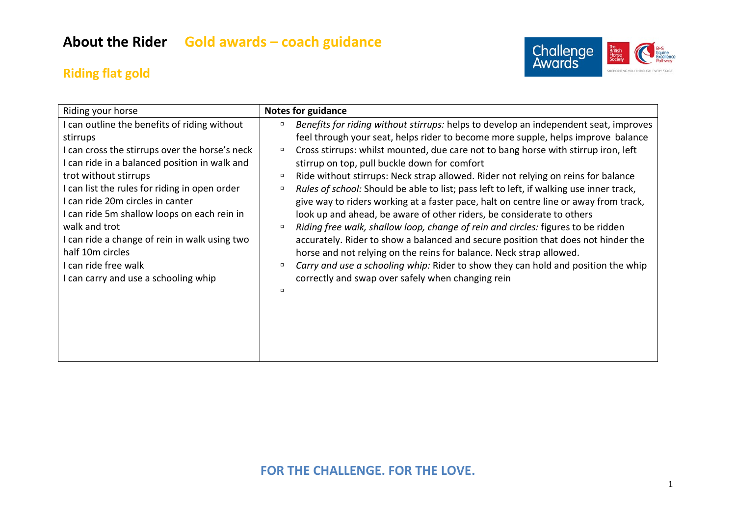# **About the Rider Gold awards – coach guidance**

## **Riding flat gold**



| Riding your horse                                                                                                                                                                                                                                                                                                                                                                                                                                                              | <b>Notes for guidance</b>                                                                                                                                                                                                                                                                                                                                                                                                                                                                                                                                                                                                                                                                                                                                                                                                                                                                                                                                                                                                                                                                                        |
|--------------------------------------------------------------------------------------------------------------------------------------------------------------------------------------------------------------------------------------------------------------------------------------------------------------------------------------------------------------------------------------------------------------------------------------------------------------------------------|------------------------------------------------------------------------------------------------------------------------------------------------------------------------------------------------------------------------------------------------------------------------------------------------------------------------------------------------------------------------------------------------------------------------------------------------------------------------------------------------------------------------------------------------------------------------------------------------------------------------------------------------------------------------------------------------------------------------------------------------------------------------------------------------------------------------------------------------------------------------------------------------------------------------------------------------------------------------------------------------------------------------------------------------------------------------------------------------------------------|
| I can outline the benefits of riding without<br>stirrups<br>I can cross the stirrups over the horse's neck<br>I can ride in a balanced position in walk and<br>trot without stirrups<br>I can list the rules for riding in open order<br>I can ride 20m circles in canter<br>I can ride 5m shallow loops on each rein in<br>walk and trot<br>I can ride a change of rein in walk using two<br>half 10m circles<br>I can ride free walk<br>I can carry and use a schooling whip | Benefits for riding without stirrups: helps to develop an independent seat, improves<br>$\Box$<br>feel through your seat, helps rider to become more supple, helps improve balance<br>Cross stirrups: whilst mounted, due care not to bang horse with stirrup iron, left<br>$\Box$<br>stirrup on top, pull buckle down for comfort<br>Ride without stirrups: Neck strap allowed. Rider not relying on reins for balance<br>о<br>Rules of school: Should be able to list; pass left to left, if walking use inner track,<br>о<br>give way to riders working at a faster pace, halt on centre line or away from track,<br>look up and ahead, be aware of other riders, be considerate to others<br>Riding free walk, shallow loop, change of rein and circles: figures to be ridden<br>$\Box$<br>accurately. Rider to show a balanced and secure position that does not hinder the<br>horse and not relying on the reins for balance. Neck strap allowed.<br>Carry and use a schooling whip: Rider to show they can hold and position the whip<br>α<br>correctly and swap over safely when changing rein<br>$\Box$ |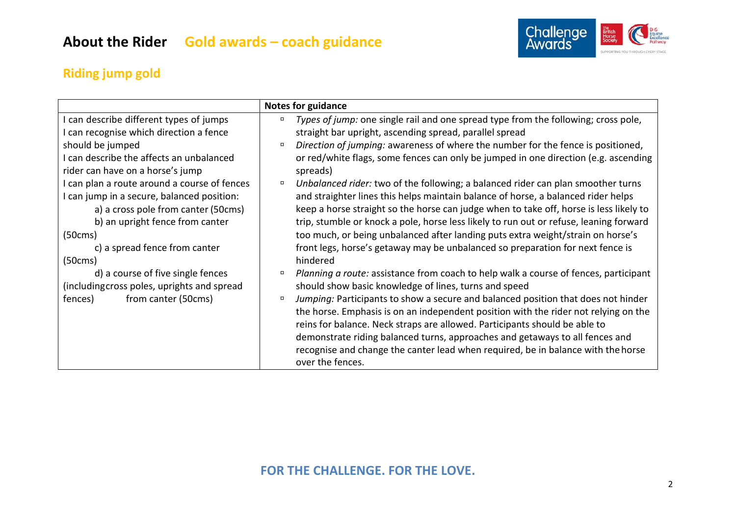

## **Riding jump gold**

|                                                                                                                                                                                                                                                                                                                                                                                                                                                                                                                                    | <b>Notes for guidance</b>                                                                                                                                                                                                                                                                                                                                                                                                                                                                                                                                                                                                                                                                                                                                                                                                                                                                                                                                                                                                                                                                                                                                                                                                                                                                                                                                                                                                                                                                                                |
|------------------------------------------------------------------------------------------------------------------------------------------------------------------------------------------------------------------------------------------------------------------------------------------------------------------------------------------------------------------------------------------------------------------------------------------------------------------------------------------------------------------------------------|--------------------------------------------------------------------------------------------------------------------------------------------------------------------------------------------------------------------------------------------------------------------------------------------------------------------------------------------------------------------------------------------------------------------------------------------------------------------------------------------------------------------------------------------------------------------------------------------------------------------------------------------------------------------------------------------------------------------------------------------------------------------------------------------------------------------------------------------------------------------------------------------------------------------------------------------------------------------------------------------------------------------------------------------------------------------------------------------------------------------------------------------------------------------------------------------------------------------------------------------------------------------------------------------------------------------------------------------------------------------------------------------------------------------------------------------------------------------------------------------------------------------------|
| can describe different types of jumps<br>can recognise which direction a fence<br>should be jumped<br>can describe the affects an unbalanced<br>rider can have on a horse's jump<br>I can plan a route around a course of fences<br>I can jump in a secure, balanced position:<br>a) a cross pole from canter (50cms)<br>b) an upright fence from canter<br>(50cm)<br>c) a spread fence from canter<br>(50cm)<br>d) a course of five single fences<br>(includingcross poles, uprights and spread<br>from canter (50cms)<br>fences) | Types of jump: one single rail and one spread type from the following; cross pole,<br>α<br>straight bar upright, ascending spread, parallel spread<br>Direction of jumping: awareness of where the number for the fence is positioned,<br>$\Box$<br>or red/white flags, some fences can only be jumped in one direction (e.g. ascending<br>spreads)<br>Unbalanced rider: two of the following; a balanced rider can plan smoother turns<br>$\Box$<br>and straighter lines this helps maintain balance of horse, a balanced rider helps<br>keep a horse straight so the horse can judge when to take off, horse is less likely to<br>trip, stumble or knock a pole, horse less likely to run out or refuse, leaning forward<br>too much, or being unbalanced after landing puts extra weight/strain on horse's<br>front legs, horse's getaway may be unbalanced so preparation for next fence is<br>hindered<br>Planning a route: assistance from coach to help walk a course of fences, participant<br>$\Box$<br>should show basic knowledge of lines, turns and speed<br>Jumping: Participants to show a secure and balanced position that does not hinder<br>the horse. Emphasis is on an independent position with the rider not relying on the<br>reins for balance. Neck straps are allowed. Participants should be able to<br>demonstrate riding balanced turns, approaches and getaways to all fences and<br>recognise and change the canter lead when required, be in balance with the horse<br>over the fences. |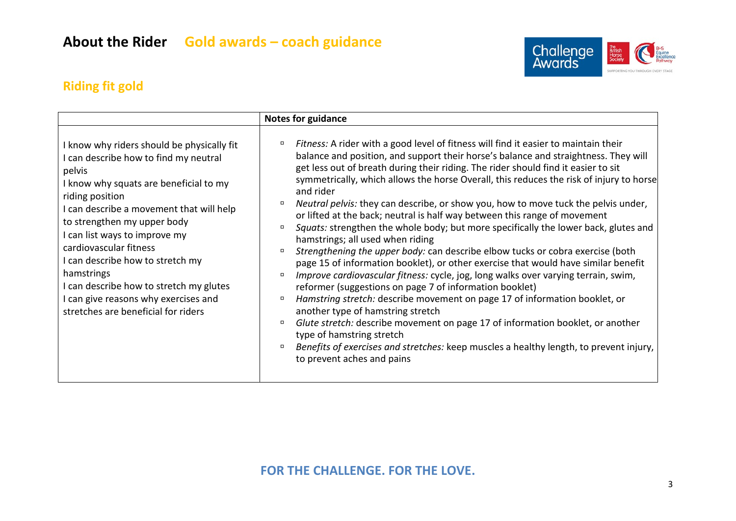

## **Riding fit gold**

|                                                                                                                                                                                                                                                                                                                                                                                                                                                                              | <b>Notes for guidance</b>                                                                                                                                                                                                                                                                                                                                                                                                                                                                                                                                                                                                                                                                                                                                                                                                                                                                                                                                                                                                                                                                                                                                                                                                                                                                                                                                           |
|------------------------------------------------------------------------------------------------------------------------------------------------------------------------------------------------------------------------------------------------------------------------------------------------------------------------------------------------------------------------------------------------------------------------------------------------------------------------------|---------------------------------------------------------------------------------------------------------------------------------------------------------------------------------------------------------------------------------------------------------------------------------------------------------------------------------------------------------------------------------------------------------------------------------------------------------------------------------------------------------------------------------------------------------------------------------------------------------------------------------------------------------------------------------------------------------------------------------------------------------------------------------------------------------------------------------------------------------------------------------------------------------------------------------------------------------------------------------------------------------------------------------------------------------------------------------------------------------------------------------------------------------------------------------------------------------------------------------------------------------------------------------------------------------------------------------------------------------------------|
| I know why riders should be physically fit<br>I can describe how to find my neutral<br>pelvis<br>I know why squats are beneficial to my<br>riding position<br>I can describe a movement that will help<br>to strengthen my upper body<br>I can list ways to improve my<br>cardiovascular fitness<br>I can describe how to stretch my<br>hamstrings<br>I can describe how to stretch my glutes<br>I can give reasons why exercises and<br>stretches are beneficial for riders | Fitness: A rider with a good level of fitness will find it easier to maintain their<br>balance and position, and support their horse's balance and straightness. They will<br>get less out of breath during their riding. The rider should find it easier to sit<br>symmetrically, which allows the horse Overall, this reduces the risk of injury to horse<br>and rider<br>Neutral pelvis: they can describe, or show you, how to move tuck the pelvis under,<br>or lifted at the back; neutral is half way between this range of movement<br>Squats: strengthen the whole body; but more specifically the lower back, glutes and<br>hamstrings; all used when riding<br>Strengthening the upper body: can describe elbow tucks or cobra exercise (both<br>page 15 of information booklet), or other exercise that would have similar benefit<br>Improve cardiovascular fitness: cycle, jog, long walks over varying terrain, swim,<br>reformer (suggestions on page 7 of information booklet)<br>Hamstring stretch: describe movement on page 17 of information booklet, or<br>$\Box$<br>another type of hamstring stretch<br>Glute stretch: describe movement on page 17 of information booklet, or another<br>type of hamstring stretch<br>Benefits of exercises and stretches: keep muscles a healthy length, to prevent injury,<br>to prevent aches and pains |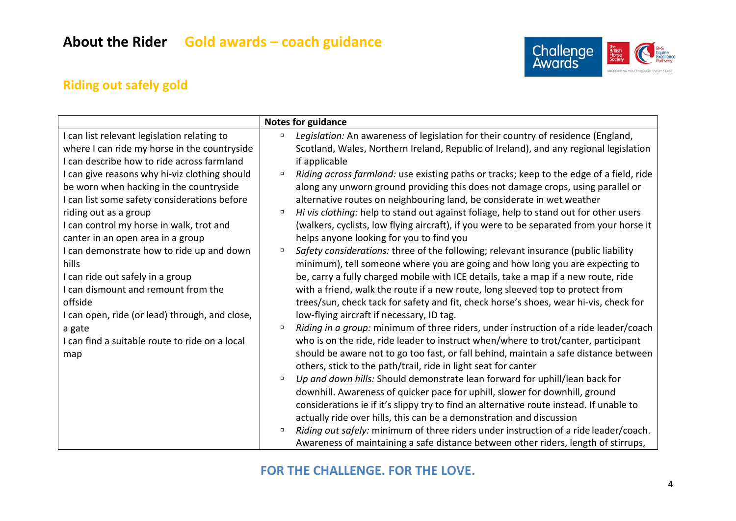

### **Riding out safely gold**

|                                                | <b>Notes for guidance</b>                                                                                                                                                  |
|------------------------------------------------|----------------------------------------------------------------------------------------------------------------------------------------------------------------------------|
| I can list relevant legislation relating to    | Legislation: An awareness of legislation for their country of residence (England,                                                                                          |
| where I can ride my horse in the countryside   | Scotland, Wales, Northern Ireland, Republic of Ireland), and any regional legislation                                                                                      |
| I can describe how to ride across farmland     | if applicable                                                                                                                                                              |
| I can give reasons why hi-viz clothing should  | Riding across farmland: use existing paths or tracks; keep to the edge of a field, ride<br>$\Box$                                                                          |
| be worn when hacking in the countryside        | along any unworn ground providing this does not damage crops, using parallel or                                                                                            |
| I can list some safety considerations before   | alternative routes on neighbouring land, be considerate in wet weather                                                                                                     |
| riding out as a group                          | Hi vis clothing: help to stand out against foliage, help to stand out for other users<br>$\Box$                                                                            |
| I can control my horse in walk, trot and       | (walkers, cyclists, low flying aircraft), if you were to be separated from your horse it                                                                                   |
| canter in an open area in a group              | helps anyone looking for you to find you                                                                                                                                   |
| I can demonstrate how to ride up and down      | Safety considerations: three of the following; relevant insurance (public liability<br>$\Box$                                                                              |
| hills                                          | minimum), tell someone where you are going and how long you are expecting to                                                                                               |
| I can ride out safely in a group               | be, carry a fully charged mobile with ICE details, take a map if a new route, ride                                                                                         |
| I can dismount and remount from the            | with a friend, walk the route if a new route, long sleeved top to protect from                                                                                             |
| offside                                        | trees/sun, check tack for safety and fit, check horse's shoes, wear hi-vis, check for                                                                                      |
| I can open, ride (or lead) through, and close, | low-flying aircraft if necessary, ID tag.                                                                                                                                  |
| a gate                                         | Riding in a group: minimum of three riders, under instruction of a ride leader/coach                                                                                       |
| I can find a suitable route to ride on a local | who is on the ride, ride leader to instruct when/where to trot/canter, participant                                                                                         |
| map                                            | should be aware not to go too fast, or fall behind, maintain a safe distance between                                                                                       |
|                                                | others, stick to the path/trail, ride in light seat for canter                                                                                                             |
|                                                | Up and down hills: Should demonstrate lean forward for uphill/lean back for<br>$\Box$                                                                                      |
|                                                | downhill. Awareness of quicker pace for uphill, slower for downhill, ground                                                                                                |
|                                                | considerations ie if it's slippy try to find an alternative route instead. If unable to                                                                                    |
|                                                | actually ride over hills, this can be a demonstration and discussion                                                                                                       |
|                                                | Riding out safely: minimum of three riders under instruction of a ride leader/coach.<br>Awareness of maintaining a safe distance between other riders, length of stirrups, |

#### **FOR THE CHALLENGE. FOR THE LOVE.**